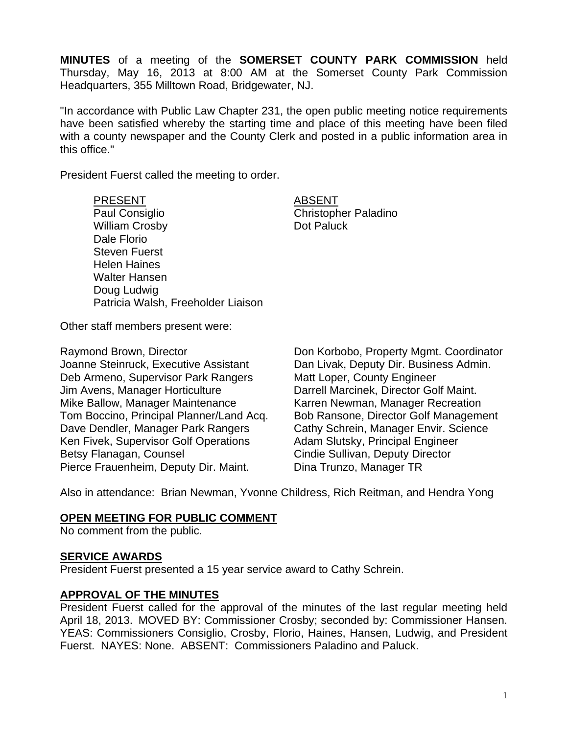**MINUTES** of a meeting of the **SOMERSET COUNTY PARK COMMISSION** held Thursday, May 16, 2013 at 8:00 AM at the Somerset County Park Commission Headquarters, 355 Milltown Road, Bridgewater, NJ.

"In accordance with Public Law Chapter 231, the open public meeting notice requirements have been satisfied whereby the starting time and place of this meeting have been filed with a county newspaper and the County Clerk and posted in a public information area in this office."

President Fuerst called the meeting to order.

PRESENT ABSENT Paul Consiglio **Christopher Paladino** William Crosby **Dot Paluck** Dale Florio Steven Fuerst Helen Haines Walter Hansen Doug Ludwig Patricia Walsh, Freeholder Liaison

Other staff members present were:

Joanne Steinruck, Executive Assistant Dan Livak, Deputy Dir. Business Admin. Deb Armeno, Supervisor Park Rangers Matt Loper, County Engineer Jim Avens, Manager Horticulture Darrell Marcinek, Director Golf Maint. Mike Ballow, Manager Maintenance Karren Newman, Manager Recreation Tom Boccino, Principal Planner/Land Acq. Bob Ransone, Director Golf Management Dave Dendler, Manager Park Rangers Cathy Schrein, Manager Envir. Science Ken Fivek, Supervisor Golf Operations Adam Slutsky, Principal Engineer Betsy Flanagan, Counsel **Counsel Cindie Sullivan, Deputy Director** Pierce Frauenheim, Deputy Dir. Maint. Dina Trunzo, Manager TR

Raymond Brown, Director **Don Korbobo, Property Mgmt. Coordinator** 

Also in attendance: Brian Newman, Yvonne Childress, Rich Reitman, and Hendra Yong

#### **OPEN MEETING FOR PUBLIC COMMENT**

No comment from the public.

#### **SERVICE AWARDS**

President Fuerst presented a 15 year service award to Cathy Schrein.

#### **APPROVAL OF THE MINUTES**

President Fuerst called for the approval of the minutes of the last regular meeting held April 18, 2013. MOVED BY: Commissioner Crosby; seconded by: Commissioner Hansen. YEAS: Commissioners Consiglio, Crosby, Florio, Haines, Hansen, Ludwig, and President Fuerst. NAYES: None. ABSENT: Commissioners Paladino and Paluck.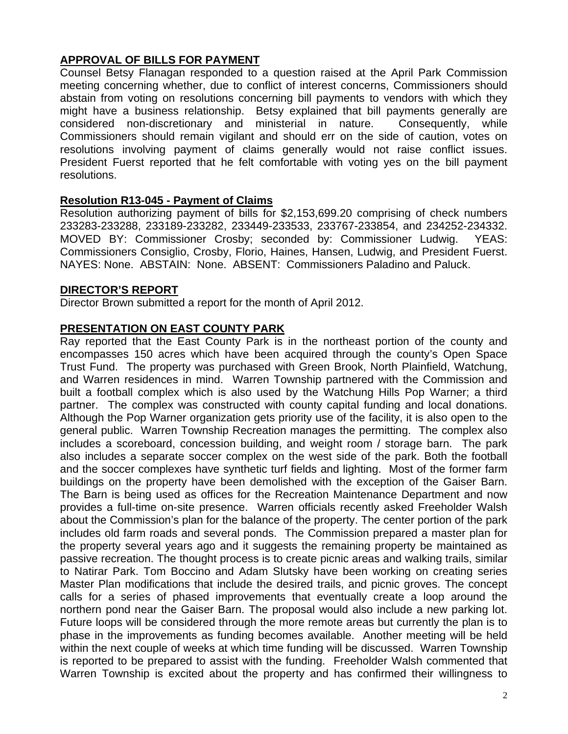### **APPROVAL OF BILLS FOR PAYMENT**

Counsel Betsy Flanagan responded to a question raised at the April Park Commission meeting concerning whether, due to conflict of interest concerns, Commissioners should abstain from voting on resolutions concerning bill payments to vendors with which they might have a business relationship. Betsy explained that bill payments generally are considered non-discretionary and ministerial in nature. Consequently, while Commissioners should remain vigilant and should err on the side of caution, votes on resolutions involving payment of claims generally would not raise conflict issues. President Fuerst reported that he felt comfortable with voting yes on the bill payment resolutions.

### **Resolution R13-045 - Payment of Claims**

Resolution authorizing payment of bills for \$2,153,699.20 comprising of check numbers 233283-233288, 233189-233282, 233449-233533, 233767-233854, and 234252-234332. MOVED BY: Commissioner Crosby; seconded by: Commissioner Ludwig. YEAS: Commissioners Consiglio, Crosby, Florio, Haines, Hansen, Ludwig, and President Fuerst. NAYES: None. ABSTAIN: None. ABSENT: Commissioners Paladino and Paluck.

#### **DIRECTOR'S REPORT**

Director Brown submitted a report for the month of April 2012.

### **PRESENTATION ON EAST COUNTY PARK**

Ray reported that the East County Park is in the northeast portion of the county and encompasses 150 acres which have been acquired through the county's Open Space Trust Fund. The property was purchased with Green Brook, North Plainfield, Watchung, and Warren residences in mind. Warren Township partnered with the Commission and built a football complex which is also used by the Watchung Hills Pop Warner; a third partner. The complex was constructed with county capital funding and local donations. Although the Pop Warner organization gets priority use of the facility, it is also open to the general public. Warren Township Recreation manages the permitting. The complex also includes a scoreboard, concession building, and weight room / storage barn. The park also includes a separate soccer complex on the west side of the park. Both the football and the soccer complexes have synthetic turf fields and lighting. Most of the former farm buildings on the property have been demolished with the exception of the Gaiser Barn. The Barn is being used as offices for the Recreation Maintenance Department and now provides a full-time on-site presence. Warren officials recently asked Freeholder Walsh about the Commission's plan for the balance of the property. The center portion of the park includes old farm roads and several ponds. The Commission prepared a master plan for the property several years ago and it suggests the remaining property be maintained as passive recreation. The thought process is to create picnic areas and walking trails, similar to Natirar Park. Tom Boccino and Adam Slutsky have been working on creating series Master Plan modifications that include the desired trails, and picnic groves. The concept calls for a series of phased improvements that eventually create a loop around the northern pond near the Gaiser Barn. The proposal would also include a new parking lot. Future loops will be considered through the more remote areas but currently the plan is to phase in the improvements as funding becomes available. Another meeting will be held within the next couple of weeks at which time funding will be discussed. Warren Township is reported to be prepared to assist with the funding. Freeholder Walsh commented that Warren Township is excited about the property and has confirmed their willingness to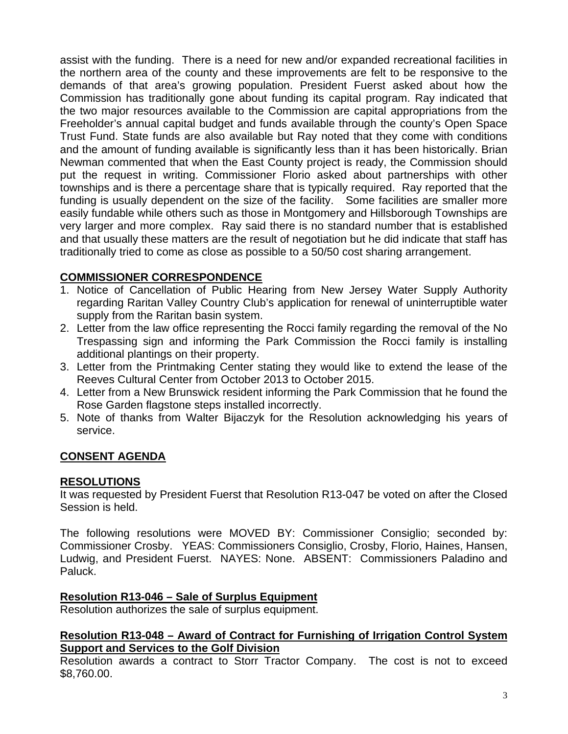assist with the funding. There is a need for new and/or expanded recreational facilities in the northern area of the county and these improvements are felt to be responsive to the demands of that area's growing population. President Fuerst asked about how the Commission has traditionally gone about funding its capital program. Ray indicated that the two major resources available to the Commission are capital appropriations from the Freeholder's annual capital budget and funds available through the county's Open Space Trust Fund. State funds are also available but Ray noted that they come with conditions and the amount of funding available is significantly less than it has been historically. Brian Newman commented that when the East County project is ready, the Commission should put the request in writing. Commissioner Florio asked about partnerships with other townships and is there a percentage share that is typically required. Ray reported that the funding is usually dependent on the size of the facility. Some facilities are smaller more easily fundable while others such as those in Montgomery and Hillsborough Townships are very larger and more complex. Ray said there is no standard number that is established and that usually these matters are the result of negotiation but he did indicate that staff has traditionally tried to come as close as possible to a 50/50 cost sharing arrangement.

# **COMMISSIONER CORRESPONDENCE**

- 1. Notice of Cancellation of Public Hearing from New Jersey Water Supply Authority regarding Raritan Valley Country Club's application for renewal of uninterruptible water supply from the Raritan basin system.
- 2. Letter from the law office representing the Rocci family regarding the removal of the No Trespassing sign and informing the Park Commission the Rocci family is installing additional plantings on their property.
- 3. Letter from the Printmaking Center stating they would like to extend the lease of the Reeves Cultural Center from October 2013 to October 2015.
- 4. Letter from a New Brunswick resident informing the Park Commission that he found the Rose Garden flagstone steps installed incorrectly.
- 5. Note of thanks from Walter Bijaczyk for the Resolution acknowledging his years of service.

## **CONSENT AGENDA**

#### **RESOLUTIONS**

It was requested by President Fuerst that Resolution R13-047 be voted on after the Closed Session is held.

The following resolutions were MOVED BY: Commissioner Consiglio; seconded by: Commissioner Crosby. YEAS: Commissioners Consiglio, Crosby, Florio, Haines, Hansen, Ludwig, and President Fuerst. NAYES: None. ABSENT: Commissioners Paladino and Paluck.

## **Resolution R13-046 – Sale of Surplus Equipment**

Resolution authorizes the sale of surplus equipment.

#### **Resolution R13-048 – Award of Contract for Furnishing of Irrigation Control System Support and Services to the Golf Division**

Resolution awards a contract to Storr Tractor Company. The cost is not to exceed \$8,760.00.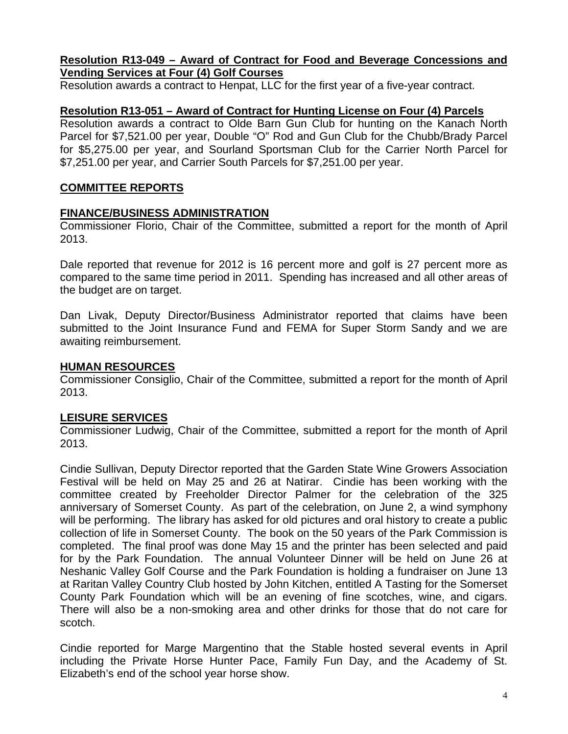#### **Resolution R13-049 – Award of Contract for Food and Beverage Concessions and Vending Services at Four (4) Golf Courses**

Resolution awards a contract to Henpat, LLC for the first year of a five-year contract.

#### **Resolution R13-051 – Award of Contract for Hunting License on Four (4) Parcels**

Resolution awards a contract to Olde Barn Gun Club for hunting on the Kanach North Parcel for \$7,521.00 per year, Double "O" Rod and Gun Club for the Chubb/Brady Parcel for \$5,275.00 per year, and Sourland Sportsman Club for the Carrier North Parcel for \$7,251.00 per year, and Carrier South Parcels for \$7,251.00 per year.

#### **COMMITTEE REPORTS**

#### **FINANCE/BUSINESS ADMINISTRATION**

Commissioner Florio, Chair of the Committee, submitted a report for the month of April 2013.

Dale reported that revenue for 2012 is 16 percent more and golf is 27 percent more as compared to the same time period in 2011. Spending has increased and all other areas of the budget are on target.

Dan Livak, Deputy Director/Business Administrator reported that claims have been submitted to the Joint Insurance Fund and FEMA for Super Storm Sandy and we are awaiting reimbursement.

#### **HUMAN RESOURCES**

Commissioner Consiglio, Chair of the Committee, submitted a report for the month of April 2013.

#### **LEISURE SERVICES**

Commissioner Ludwig, Chair of the Committee, submitted a report for the month of April 2013.

Cindie Sullivan, Deputy Director reported that the Garden State Wine Growers Association Festival will be held on May 25 and 26 at Natirar. Cindie has been working with the committee created by Freeholder Director Palmer for the celebration of the 325 anniversary of Somerset County. As part of the celebration, on June 2, a wind symphony will be performing. The library has asked for old pictures and oral history to create a public collection of life in Somerset County. The book on the 50 years of the Park Commission is completed. The final proof was done May 15 and the printer has been selected and paid for by the Park Foundation. The annual Volunteer Dinner will be held on June 26 at Neshanic Valley Golf Course and the Park Foundation is holding a fundraiser on June 13 at Raritan Valley Country Club hosted by John Kitchen, entitled A Tasting for the Somerset County Park Foundation which will be an evening of fine scotches, wine, and cigars. There will also be a non-smoking area and other drinks for those that do not care for scotch.

Cindie reported for Marge Margentino that the Stable hosted several events in April including the Private Horse Hunter Pace, Family Fun Day, and the Academy of St. Elizabeth's end of the school year horse show.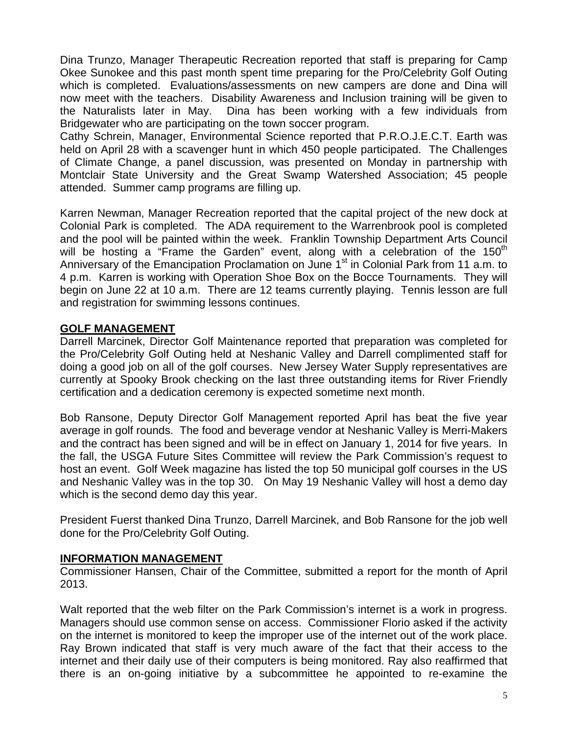Dina Trunzo, Manager Therapeutic Recreation reported that staff is preparing for Camp Okee Sunokee and this past month spent time preparing for the Pro/Celebrity Golf Outing which is completed. Evaluations/assessments on new campers are done and Dina will now meet with the teachers. Disability Awareness and Inclusion training will be given to the Naturalists later in May. Dina has been working with a few individuals from Bridgewater who are participating on the town soccer program.

Cathy Schrein, Manager, Environmental Science reported that P.R.O.J.E.C.T. Earth was held on April 28 with a scavenger hunt in which 450 people participated. The Challenges of Climate Change, a panel discussion, was presented on Monday in partnership with Montclair State University and the Great Swamp Watershed Association; 45 people attended. Summer camp programs are filling up.

Karren Newman, Manager Recreation reported that the capital project of the new dock at Colonial Park is completed. The ADA requirement to the Warrenbrook pool is completed and the pool will be painted within the week. Franklin Township Department Arts Council will be hosting a "Frame the Garden" event, along with a celebration of the  $150<sup>th</sup>$ Anniversary of the Emancipation Proclamation on June 1<sup>st</sup> in Colonial Park from 11 a.m. to 4 p.m. Karren is working with Operation Shoe Box on the Bocce Tournaments. They will begin on June 22 at 10 a.m. There are 12 teams currently playing. Tennis lesson are full and registration for swimming lessons continues.

### **GOLF MANAGEMENT**

Darrell Marcinek, Director Golf Maintenance reported that preparation was completed for the Pro/Celebrity Golf Outing held at Neshanic Valley and Darrell complimented staff for doing a good job on all of the golf courses. New Jersey Water Supply representatives are currently at Spooky Brook checking on the last three outstanding items for River Friendly certification and a dedication ceremony is expected sometime next month.

Bob Ransone, Deputy Director Golf Management reported April has beat the five year average in golf rounds. The food and beverage vendor at Neshanic Valley is Merri-Makers and the contract has been signed and will be in effect on January 1, 2014 for five years. In the fall, the USGA Future Sites Committee will review the Park Commission's request to host an event. Golf Week magazine has listed the top 50 municipal golf courses in the US and Neshanic Valley was in the top 30. On May 19 Neshanic Valley will host a demo day which is the second demo day this year.

President Fuerst thanked Dina Trunzo, Darrell Marcinek, and Bob Ransone for the job well done for the Pro/Celebrity Golf Outing.

#### **INFORMATION MANAGEMENT**

Commissioner Hansen, Chair of the Committee, submitted a report for the month of April 2013.

Walt reported that the web filter on the Park Commission's internet is a work in progress. Managers should use common sense on access. Commissioner Florio asked if the activity on the internet is monitored to keep the improper use of the internet out of the work place. Ray Brown indicated that staff is very much aware of the fact that their access to the internet and their daily use of their computers is being monitored. Ray also reaffirmed that there is an on-going initiative by a subcommittee he appointed to re-examine the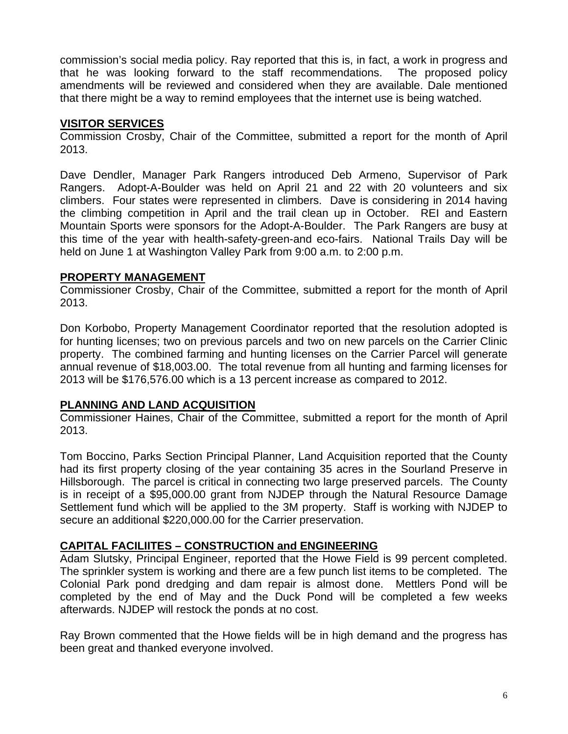commission's social media policy. Ray reported that this is, in fact, a work in progress and that he was looking forward to the staff recommendations. The proposed policy amendments will be reviewed and considered when they are available. Dale mentioned that there might be a way to remind employees that the internet use is being watched.

### **VISITOR SERVICES**

Commission Crosby, Chair of the Committee, submitted a report for the month of April 2013.

Dave Dendler, Manager Park Rangers introduced Deb Armeno, Supervisor of Park Rangers. Adopt-A-Boulder was held on April 21 and 22 with 20 volunteers and six climbers. Four states were represented in climbers. Dave is considering in 2014 having the climbing competition in April and the trail clean up in October. REI and Eastern Mountain Sports were sponsors for the Adopt-A-Boulder. The Park Rangers are busy at this time of the year with health-safety-green-and eco-fairs. National Trails Day will be held on June 1 at Washington Valley Park from 9:00 a.m. to 2:00 p.m.

### **PROPERTY MANAGEMENT**

Commissioner Crosby, Chair of the Committee, submitted a report for the month of April 2013.

Don Korbobo, Property Management Coordinator reported that the resolution adopted is for hunting licenses; two on previous parcels and two on new parcels on the Carrier Clinic property. The combined farming and hunting licenses on the Carrier Parcel will generate annual revenue of \$18,003.00. The total revenue from all hunting and farming licenses for 2013 will be \$176,576.00 which is a 13 percent increase as compared to 2012.

#### **PLANNING AND LAND ACQUISITION**

Commissioner Haines, Chair of the Committee, submitted a report for the month of April 2013.

Tom Boccino, Parks Section Principal Planner, Land Acquisition reported that the County had its first property closing of the year containing 35 acres in the Sourland Preserve in Hillsborough. The parcel is critical in connecting two large preserved parcels. The County is in receipt of a \$95,000.00 grant from NJDEP through the Natural Resource Damage Settlement fund which will be applied to the 3M property. Staff is working with NJDEP to secure an additional \$220,000.00 for the Carrier preservation.

#### **CAPITAL FACILIITES – CONSTRUCTION and ENGINEERING**

Adam Slutsky, Principal Engineer, reported that the Howe Field is 99 percent completed. The sprinkler system is working and there are a few punch list items to be completed. The Colonial Park pond dredging and dam repair is almost done. Mettlers Pond will be completed by the end of May and the Duck Pond will be completed a few weeks afterwards. NJDEP will restock the ponds at no cost.

Ray Brown commented that the Howe fields will be in high demand and the progress has been great and thanked everyone involved.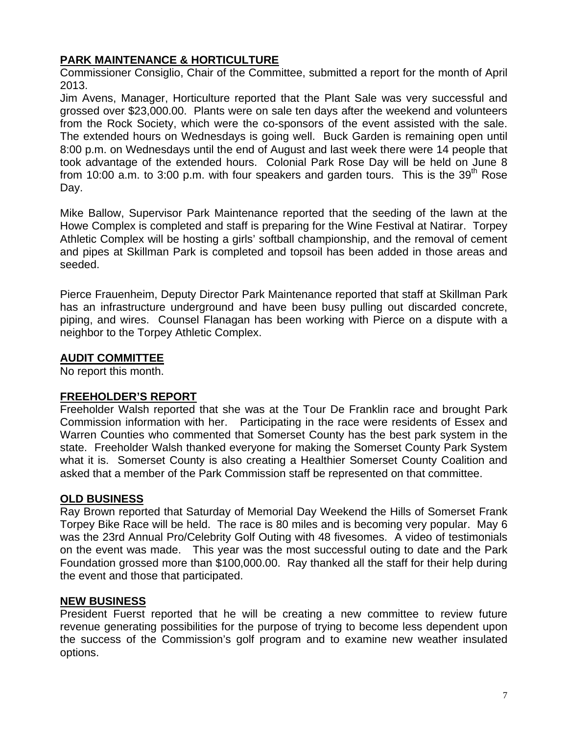## **PARK MAINTENANCE & HORTICULTURE**

Commissioner Consiglio, Chair of the Committee, submitted a report for the month of April 2013.

Jim Avens, Manager, Horticulture reported that the Plant Sale was very successful and grossed over \$23,000.00. Plants were on sale ten days after the weekend and volunteers from the Rock Society, which were the co-sponsors of the event assisted with the sale. The extended hours on Wednesdays is going well. Buck Garden is remaining open until 8:00 p.m. on Wednesdays until the end of August and last week there were 14 people that took advantage of the extended hours. Colonial Park Rose Day will be held on June 8 from 10:00 a.m. to 3:00 p.m. with four speakers and garden tours. This is the 39<sup>th</sup> Rose Day.

Mike Ballow, Supervisor Park Maintenance reported that the seeding of the lawn at the Howe Complex is completed and staff is preparing for the Wine Festival at Natirar. Torpey Athletic Complex will be hosting a girls' softball championship, and the removal of cement and pipes at Skillman Park is completed and topsoil has been added in those areas and seeded.

Pierce Frauenheim, Deputy Director Park Maintenance reported that staff at Skillman Park has an infrastructure underground and have been busy pulling out discarded concrete, piping, and wires. Counsel Flanagan has been working with Pierce on a dispute with a neighbor to the Torpey Athletic Complex.

## **AUDIT COMMITTEE**

No report this month.

## **FREEHOLDER'S REPORT**

Freeholder Walsh reported that she was at the Tour De Franklin race and brought Park Commission information with her. Participating in the race were residents of Essex and Warren Counties who commented that Somerset County has the best park system in the state. Freeholder Walsh thanked everyone for making the Somerset County Park System what it is. Somerset County is also creating a Healthier Somerset County Coalition and asked that a member of the Park Commission staff be represented on that committee.

## **OLD BUSINESS**

Ray Brown reported that Saturday of Memorial Day Weekend the Hills of Somerset Frank Torpey Bike Race will be held. The race is 80 miles and is becoming very popular. May 6 was the 23rd Annual Pro/Celebrity Golf Outing with 48 fivesomes. A video of testimonials on the event was made. This year was the most successful outing to date and the Park Foundation grossed more than \$100,000.00. Ray thanked all the staff for their help during the event and those that participated.

## **NEW BUSINESS**

President Fuerst reported that he will be creating a new committee to review future revenue generating possibilities for the purpose of trying to become less dependent upon the success of the Commission's golf program and to examine new weather insulated options.